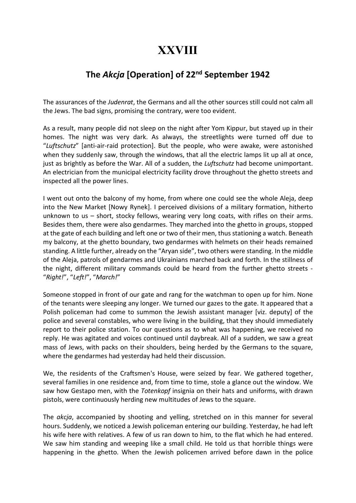## XXVIII

## The Akcja [Operation] of 22<sup>nd</sup> September 1942

The assurances of the Judenrat, the Germans and all the other sources still could not calm all the Jews. The bad signs, promising the contrary, were too evident.

As a result, many people did not sleep on the night after Yom Kippur, but stayed up in their homes. The night was very dark. As always, the streetlights were turned off due to "Luftschutz" [anti-air-raid protection]. But the people, who were awake, were astonished when they suddenly saw, through the windows, that all the electric lamps lit up all at once, just as brightly as before the War. All of a sudden, the Luftschutz had become unimportant. An electrician from the municipal electricity facility drove throughout the ghetto streets and inspected all the power lines.

I went out onto the balcony of my home, from where one could see the whole Aleja, deep into the New Market [Nowy Rynek]. I perceived divisions of a military formation, hitherto unknown to us – short, stocky fellows, wearing very long coats, with rifles on their arms. Besides them, there were also gendarmes. They marched into the ghetto in groups, stopped at the gate of each building and left one or two of their men, thus stationing a watch. Beneath my balcony, at the ghetto boundary, two gendarmes with helmets on their heads remained standing. A little further, already on the "Aryan side", two others were standing. In the middle of the Aleja, patrols of gendarmes and Ukrainians marched back and forth. In the stillness of the night, different military commands could be heard from the further ghetto streets - "Right!", "Left!", "March!"

Someone stopped in front of our gate and rang for the watchman to open up for him. None of the tenants were sleeping any longer. We turned our gazes to the gate. It appeared that a Polish policeman had come to summon the Jewish assistant manager [viz. deputy] of the police and several constables, who were living in the building, that they should immediately report to their police station. To our questions as to what was happening, we received no reply. He was agitated and voices continued until daybreak. All of a sudden, we saw a great mass of Jews, with packs on their shoulders, being herded by the Germans to the square, where the gendarmes had yesterday had held their discussion.

We, the residents of the Craftsmen's House, were seized by fear. We gathered together, several families in one residence and, from time to time, stole a glance out the window. We saw how Gestapo men, with the Totenkopf insignia on their hats and uniforms, with drawn pistols, were continuously herding new multitudes of Jews to the square.

The akcja, accompanied by shooting and yelling, stretched on in this manner for several hours. Suddenly, we noticed a Jewish policeman entering our building. Yesterday, he had left his wife here with relatives. A few of us ran down to him, to the flat which he had entered. We saw him standing and weeping like a small child. He told us that horrible things were happening in the ghetto. When the Jewish policemen arrived before dawn in the police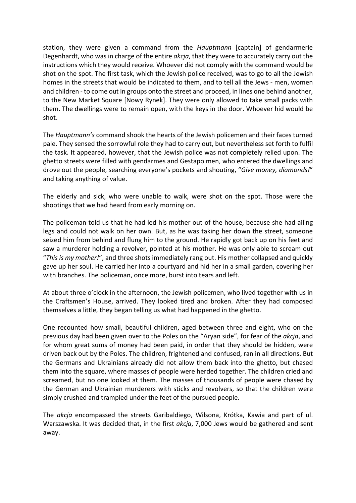station, they were given a command from the Hauptmann [captain] of gendarmerie Degenhardt, who was in charge of the entire *akcja*, that they were to accurately carry out the instructions which they would receive. Whoever did not comply with the command would be shot on the spot. The first task, which the Jewish police received, was to go to all the Jewish homes in the streets that would be indicated to them, and to tell all the Jews - men, women and children - to come out in groups onto the street and proceed, in lines one behind another, to the New Market Square [Nowy Rynek]. They were only allowed to take small packs with them. The dwellings were to remain open, with the keys in the door. Whoever hid would be shot.

The Hauptmann's command shook the hearts of the Jewish policemen and their faces turned pale. They sensed the sorrowful role they had to carry out, but nevertheless set forth to fulfil the task. It appeared, however, that the Jewish police was not completely relied upon. The ghetto streets were filled with gendarmes and Gestapo men, who entered the dwellings and drove out the people, searching everyone's pockets and shouting, "Give money, diamonds!" and taking anything of value.

The elderly and sick, who were unable to walk, were shot on the spot. Those were the shootings that we had heard from early morning on.

The policeman told us that he had led his mother out of the house, because she had ailing legs and could not walk on her own. But, as he was taking her down the street, someone seized him from behind and flung him to the ground. He rapidly got back up on his feet and saw a murderer holding a revolver, pointed at his mother. He was only able to scream out "This is my mother!", and three shots immediately rang out. His mother collapsed and quickly gave up her soul. He carried her into a courtyard and hid her in a small garden, covering her with branches. The policeman, once more, burst into tears and left.

At about three o'clock in the afternoon, the Jewish policemen, who lived together with us in the Craftsmen's House, arrived. They looked tired and broken. After they had composed themselves a little, they began telling us what had happened in the ghetto.

One recounted how small, beautiful children, aged between three and eight, who on the previous day had been given over to the Poles on the "Aryan side", for fear of the akcja, and for whom great sums of money had been paid, in order that they should be hidden, were driven back out by the Poles. The children, frightened and confused, ran in all directions. But the Germans and Ukrainians already did not allow them back into the ghetto, but chased them into the square, where masses of people were herded together. The children cried and screamed, but no one looked at them. The masses of thousands of people were chased by the German and Ukrainian murderers with sticks and revolvers, so that the children were simply crushed and trampled under the feet of the pursued people.

The akcja encompassed the streets Garibaldiego, Wilsona, Krótka, Kawia and part of ul. Warszawska. It was decided that, in the first akcja, 7,000 Jews would be gathered and sent away.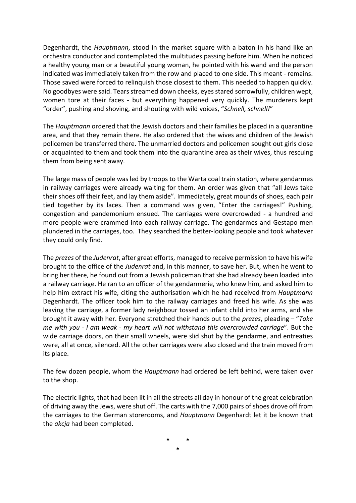Degenhardt, the Hauptmann, stood in the market square with a baton in his hand like an orchestra conductor and contemplated the multitudes passing before him. When he noticed a healthy young man or a beautiful young woman, he pointed with his wand and the person indicated was immediately taken from the row and placed to one side. This meant - remains. Those saved were forced to relinquish those closest to them. This needed to happen quickly. No goodbyes were said. Tears streamed down cheeks, eyes stared sorrowfully, children wept, women tore at their faces - but everything happened very quickly. The murderers kept "order", pushing and shoving, and shouting with wild voices, "Schnell, schnell!"

The Hauptmann ordered that the Jewish doctors and their families be placed in a quarantine area, and that they remain there. He also ordered that the wives and children of the Jewish policemen be transferred there. The unmarried doctors and policemen sought out girls close or acquainted to them and took them into the quarantine area as their wives, thus rescuing them from being sent away.

The large mass of people was led by troops to the Warta coal train station, where gendarmes in railway carriages were already waiting for them. An order was given that "all Jews take their shoes off their feet, and lay them aside". Immediately, great mounds of shoes, each pair tied together by its laces. Then a command was given, "Enter the carriages!" Pushing, congestion and pandemonium ensued. The carriages were overcrowded - a hundred and more people were crammed into each railway carriage. The gendarmes and Gestapo men plundered in the carriages, too. They searched the better-looking people and took whatever they could only find.

The *prezes* of the *Judenrat*, after great efforts, managed to receive permission to have his wife brought to the office of the Judenrat and, in this manner, to save her. But, when he went to bring her there, he found out from a Jewish policeman that she had already been loaded into a railway carriage. He ran to an officer of the gendarmerie, who knew him, and asked him to help him extract his wife, citing the authorisation which he had received from *Hauptmann* Degenhardt. The officer took him to the railway carriages and freed his wife. As she was leaving the carriage, a former lady neighbour tossed an infant child into her arms, and she brought it away with her. Everyone stretched their hands out to the prezes, pleading - "Take me with you - I am weak - my heart will not withstand this overcrowded carriage". But the wide carriage doors, on their small wheels, were slid shut by the gendarme, and entreaties were, all at once, silenced. All the other carriages were also closed and the train moved from its place.

The few dozen people, whom the Hauptmann had ordered be left behind, were taken over to the shop.

The electric lights, that had been lit in all the streets all day in honour of the great celebration of driving away the Jews, were shut off. The carts with the 7,000 pairs of shoes drove off from the carriages to the German storerooms, and Hauptmann Degenhardt let it be known that the akcja had been completed.

> \* \* \*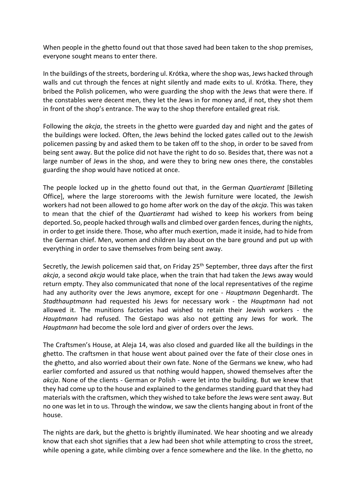When people in the ghetto found out that those saved had been taken to the shop premises, everyone sought means to enter there.

In the buildings of the streets, bordering ul. Krótka, where the shop was, Jews hacked through walls and cut through the fences at night silently and made exits to ul. Krótka. There, they bribed the Polish policemen, who were guarding the shop with the Jews that were there. If the constables were decent men, they let the Jews in for money and, if not, they shot them in front of the shop's entrance. The way to the shop therefore entailed great risk.

Following the akcja, the streets in the ghetto were guarded day and night and the gates of the buildings were locked. Often, the Jews behind the locked gates called out to the Jewish policemen passing by and asked them to be taken off to the shop, in order to be saved from being sent away. But the police did not have the right to do so. Besides that, there was not a large number of Jews in the shop, and were they to bring new ones there, the constables guarding the shop would have noticed at once.

The people locked up in the ghetto found out that, in the German *Quartieramt* [Billeting] Office], where the large storerooms with the Jewish furniture were located, the Jewish workers had not been allowed to go home after work on the day of the akcja. This was taken to mean that the chief of the Quartieramt had wished to keep his workers from being deported. So, people hacked through walls and climbed over garden fences, during the nights, in order to get inside there. Those, who after much exertion, made it inside, had to hide from the German chief. Men, women and children lay about on the bare ground and put up with everything in order to save themselves from being sent away.

Secretly, the Jewish policemen said that, on Friday 25<sup>th</sup> September, three days after the first akcja, a second akcja would take place, when the train that had taken the Jews away would return empty. They also communicated that none of the local representatives of the regime had any authority over the Jews anymore, except for one - Hauptmann Degenhardt. The Stadthauptmann had requested his Jews for necessary work - the Hauptmann had not allowed it. The munitions factories had wished to retain their Jewish workers - the Hauptmann had refused. The Gestapo was also not getting any Jews for work. The Hauptmann had become the sole lord and giver of orders over the Jews.

The Craftsmen's House, at Aleja 14, was also closed and guarded like all the buildings in the ghetto. The craftsmen in that house went about pained over the fate of their close ones in the ghetto, and also worried about their own fate. None of the Germans we knew, who had earlier comforted and assured us that nothing would happen, showed themselves after the akcja. None of the clients - German or Polish - were let into the building. But we knew that they had come up to the house and explained to the gendarmes standing guard that they had materials with the craftsmen, which they wished to take before the Jews were sent away. But no one was let in to us. Through the window, we saw the clients hanging about in front of the house.

The nights are dark, but the ghetto is brightly illuminated. We hear shooting and we already know that each shot signifies that a Jew had been shot while attempting to cross the street, while opening a gate, while climbing over a fence somewhere and the like. In the ghetto, no